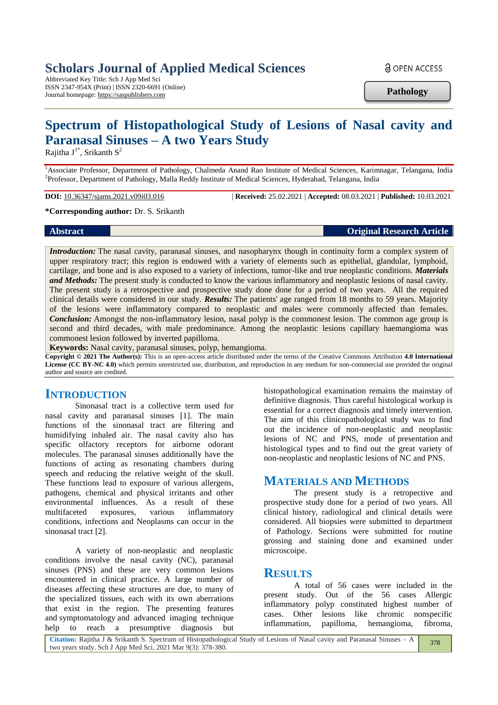## **Scholars Journal of Applied Medical Sciences**

Abbreviated Key Title: Sch J App Med Sci ISSN 2347-954X (Print) | ISSN 2320-6691 (Online) Journal homepage: https://saspublishers.com

**a** OPEN ACCESS

**Pathology**

# **Spectrum of Histopathological Study of Lesions of Nasal cavity and Paranasal Sinuses – A two Years Study**

Rajitha  $J^{1*}$ , Srikanth  $S^2$ 

<sup>1</sup>Associate Professor, Department of Pathology, Chalmeda Anand Rao Institute of Medical Sciences, Karimnagar, Telangana, India <sup>2</sup> Professor, Department of Pathology, Malla Reddy Institute of Medical Sciences, Hyderabad, Telangana, India

**DOI:** 10.36347/sjams.2021.v09i03.016 | **Received:** 25.02.2021 | **Accepted:** 08.03.2021 | **Published:** 10.03.2021

#### **\*Corresponding author:** Dr. S. Srikanth

**Abstract Original Research Article**

*Introduction:* The nasal cavity, paranasal sinuses, and nasopharynx though in continuity form a complex system of upper respiratory tract; this region is endowed with a variety of elements such as epithelial, glandular, lymphoid, cartilage, and bone and is also exposed to a variety of infections, tumor-like and true neoplastic conditions. *Materials and Methods:* The present study is conducted to know the various inflammatory and neoplastic lesions of nasal cavity. The present study is a retrospective and prospective study done done for a period of two years. All the required clinical details were considered in our study. *Results:* The patients' age ranged from 18 months to 59 years. Majority of the lesions were inflammatory compared to neoplastic and males were commonly affected than females. *Conclusion:* Amongst the non-inflammatory lesion, nasal polyp is the commonest lesion. The common age group is second and third decades, with male predominance. Among the neoplastic lesions capillary haemangioma was commonest lesion followed by inverted papilloma.

**Keywords:** Nasal cavity, paranasal sinuses, polyp, hemangioma.

**Copyright © 2021 The Author(s):** This is an open-access article distributed under the terms of the Creative Commons Attribution **4.0 International License (CC BY-NC 4.0)** which permits unrestricted use, distribution, and reproduction in any medium for non-commercial use provided the original author and source are credited.

### **INTRODUCTION**

Sinonasal tract is a collective term used for nasal cavity and paranasal sinuses [1]. The main functions of the sinonasal tract are filtering and humidifying inhaled air. The nasal cavity also has specific olfactory receptors for airborne odorant molecules. The paranasal sinuses additionally have the functions of acting as resonating chambers during speech and reducing the relative weight of the skull. These functions lead to exposure of various allergens, pathogens, chemical and physical irritants and other environmental influences. As a result of these multifaceted exposures, various inflammatory conditions, infections and Neoplasms can occur in the sinonasal tract [2].

A variety of non-neoplastic and neoplastic conditions involve the nasal cavity (NC), paranasal sinuses (PNS) and these are very common lesions encountered in clinical practice. A large number of diseases affecting these structures are due, to many of the specialized tissues, each with its own aberrations that exist in the region. The presenting features and symptomatology and advanced imaging technique help to reach a presumptive diagnosis but histopathological examination remains the mainstay of definitive diagnosis. Thus careful histological workup is essential for a correct diagnosis and timely intervention. The aim of this clinicopathological study was to find out the incidence of non-neoplastic and neoplastic lesions of NC and PNS, mode of presentation and histological types and to find out the great variety of non-neoplastic and neoplastic lesions of NC and PNS.

### **MATERIALS AND METHODS**

The present study is a retropective and prospective study done for a period of two years. All clinical history, radiological and clinical details were considered. All biopsies were submitted to department of Pathology. Sections were submitted for routine grossing and staining done and examined under microscoipe.

### **RESULTS**

A total of 56 cases were included in the present study. Out of the 56 cases Allergic inflammatory polyp constituted highest number of cases. Other lesions like chromic nonspecific inflammation, papilloma, hemangioma, fibroma,

**Citation:** Rajitha J & Srikanth S. Spectrum of Histopathological Study of Lesions of Nasal cavity and Paranasal Sinuses – A two years study. Sch J App Med Sci, 2021 Mar 9(3): 378-380. 378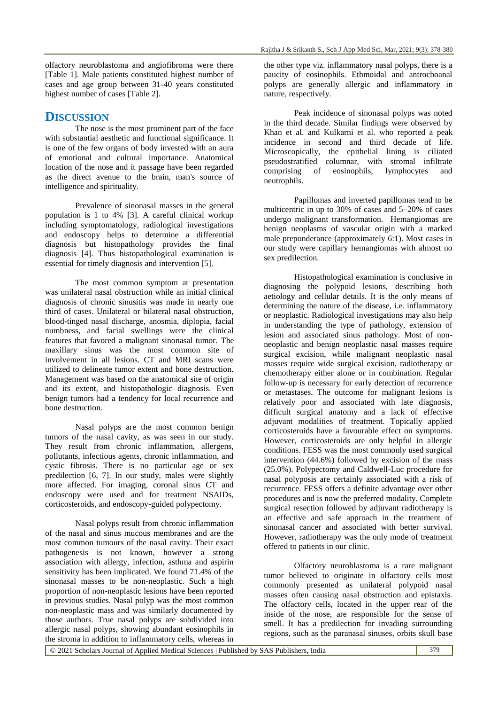### **DISCUSSION**

The nose is the most prominent part of the face with substantial aesthetic and functional significance. It is one of the few organs of body invested with an aura of emotional and cultural importance. Anatomical location of the nose and it passage have been regarded as the direct avenue to the brain, man's source of intelligence and spirituality.

Prevalence of sinonasal masses in the general population is 1 to 4% [3]. A careful clinical workup including symptomatology, radiological investigations and endoscopy helps to determine a differential diagnosis but histopathology provides the final diagnosis [4]. Thus histopathological examination is essential for timely diagnosis and intervention [5].

The most common symptom at presentation was unilateral nasal obstruction while an initial clinical diagnosis of chronic sinusitis was made in nearly one third of cases. Unilateral or bilateral nasal obstruction, blood-tinged nasal discharge, anosmia, diplopia, facial numbness, and facial swellings were the clinical features that favored a malignant sinonasal tumor. The maxillary sinus was the most common site of involvement in all lesions. CT and MRI scans were utilized to delineate tumor extent and bone destruction. Management was based on the anatomical site of origin and its extent, and histopathologic diagnosis. Even benign tumors had a tendency for local recurrence and bone destruction.

Nasal polyps are the most common benign tumors of the nasal cavity, as was seen in our study. They result from chronic inflammation, allergens, pollutants, infectious agents, chronic inflammation, and cystic fibrosis. There is no particular age or sex predilection [6, 7]. In our study, males were slightly more affected. For imaging, coronal sinus CT and endoscopy were used and for treatment NSAIDs, corticosteroids, and endoscopy-guided polypectomy.

Nasal polyps result from chronic inflammation of the nasal and sinus mucous membranes and are the most common tumours of the nasal cavity. Their exact pathogenesis is not known, however a strong association with allergy, infection, asthma and aspirin sensitivity has been implicated. We found 71.4% of the sinonasal masses to be non-neoplastic. Such a high proportion of non-neoplastic lesions have been reported in previous studies. Nasal polyp was the most common non-neoplastic mass and was similarly documented by those authors. True nasal polyps are subdivided into allergic nasal polyps, showing abundant eosinophils in the stroma in addition to inflammatory cells, whereas in

the other type viz. inflammatory nasal polyps, there is a paucity of eosinophils. Ethmoidal and antrochoanal polyps are generally allergic and inflammatory in nature, respectively.

Peak incidence of sinonasal polyps was noted in the third decade. Similar findings were observed by Khan et al. and Kulkarni et al. who reported a peak incidence in second and third decade of life. Microscopically, the epithelial lining is ciliated pseudostratified columnar, with stromal infiltrate comprising of eosinophils, lymphocytes and neutrophils.

Papillomas and inverted papillomas tend to be multicentric in up to 30% of cases and 5–20% of cases undergo malignant transformation. Hemangiomas are benign neoplasms of vascular origin with a marked male preponderance (approximately 6:1). Most cases in our study were capillary hemangiomas with almost no sex predilection.

Histopathological examination is conclusive in diagnosing the polypoid lesions, describing both aetiology and cellular details. It is the only means of determining the nature of the disease, i.e. inflammatory or neoplastic. Radiological investigations may also help in understanding the type of pathology, extension of lesion and associated sinus pathology. Most of nonneoplastic and benign neoplastic nasal masses require surgical excision, while malignant neoplastic nasal masses require wide surgical excision, radiotherapy or chemotherapy either alone or in combination. Regular follow-up is necessary for early detection of recurrence or metastases. The outcome for malignant lesions is relatively poor and associated with late diagnosis, difficult surgical anatomy and a lack of effective adjuvant modalities of treatment. Topically applied corticosteroids have a favourable effect on symptoms. However, corticosteroids are only helpful in allergic conditions. FESS was the most commonly used surgical intervention (44.6%) followed by excision of the mass (25.0%). Polypectomy and Caldwell-Luc procedure for nasal polyposis are certainly associated with a risk of recurrence. FESS offers a definite advantage over other procedures and is now the preferred modality. Complete surgical resection followed by adjuvant radiotherapy is an effective and safe approach in the treatment of sinonasal cancer and associated with better survival. However, radiotherapy was the only mode of treatment offered to patients in our clinic.

Olfactory neuroblastoma is a rare malignant tumor believed to originate in olfactory cells most commonly presented as unilateral polypoid nasal masses often causing nasal obstruction and epistaxis. The olfactory cells, located in the upper rear of the inside of the nose, are responsible for the sense of smell. It has a predilection for invading surrounding regions, such as the paranasal sinuses, orbits skull base

© 2021 Scholars Journal of Applied Medical Sciences | Published by SAS Publishers, India 379